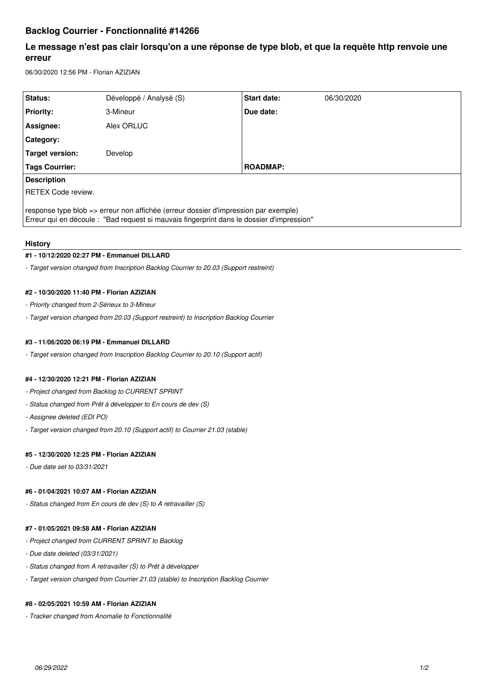# **Backlog Courrier - Fonctionnalité #14266**

# **Le message n'est pas clair lorsqu'on a une réponse de type blob, et que la requête http renvoie une erreur**

06/30/2020 12:56 PM - Florian AZIZIAN

| Status:                                                                                                                                                                          | Développé / Analysé (S) | Start date:     | 06/30/2020 |
|----------------------------------------------------------------------------------------------------------------------------------------------------------------------------------|-------------------------|-----------------|------------|
| <b>Priority:</b>                                                                                                                                                                 | 3-Mineur                | Due date:       |            |
| Assignee:                                                                                                                                                                        | Alex ORLUC              |                 |            |
| <b>Category:</b>                                                                                                                                                                 |                         |                 |            |
| Target version:                                                                                                                                                                  | Develop                 |                 |            |
| <b>Tags Courrier:</b>                                                                                                                                                            |                         | <b>ROADMAP:</b> |            |
| <b>Description</b>                                                                                                                                                               |                         |                 |            |
| RETEX Code review.                                                                                                                                                               |                         |                 |            |
| response type blob => erreur non affichée (erreur dossier d'impression par exemple)<br>Erreur qui en découle : "Bad request si mauvais fingerprint dans le dossier d'impression" |                         |                 |            |

# **History**

# **#1 - 10/12/2020 02:27 PM - Emmanuel DILLARD**

*- Target version changed from Inscription Backlog Courrier to 20.03 (Support restreint)*

# **#2 - 10/30/2020 11:40 PM - Florian AZIZIAN**

- *Priority changed from 2-Sérieux to 3-Mineur*
- *Target version changed from 20.03 (Support restreint) to Inscription Backlog Courrier*

# **#3 - 11/06/2020 06:19 PM - Emmanuel DILLARD**

*- Target version changed from Inscription Backlog Courrier to 20.10 (Support actif)*

# **#4 - 12/30/2020 12:21 PM - Florian AZIZIAN**

- *Project changed from Backlog to CURRENT SPRINT*
- *Status changed from Prêt à développer to En cours de dev (S)*
- *Assignee deleted (EDI PO)*
- *Target version changed from 20.10 (Support actif) to Courrier 21.03 (stable)*

## **#5 - 12/30/2020 12:25 PM - Florian AZIZIAN**

*- Due date set to 03/31/2021*

## **#6 - 01/04/2021 10:07 AM - Florian AZIZIAN**

*- Status changed from En cours de dev (S) to A retravailler (S)*

# **#7 - 01/05/2021 09:58 AM - Florian AZIZIAN**

- *Project changed from CURRENT SPRINT to Backlog*
- *Due date deleted (03/31/2021)*
- *Status changed from A retravailler (S) to Prêt à développer*
- *Target version changed from Courrier 21.03 (stable) to Inscription Backlog Courrier*

## **#8 - 02/05/2021 10:59 AM - Florian AZIZIAN**

*- Tracker changed from Anomalie to Fonctionnalité*